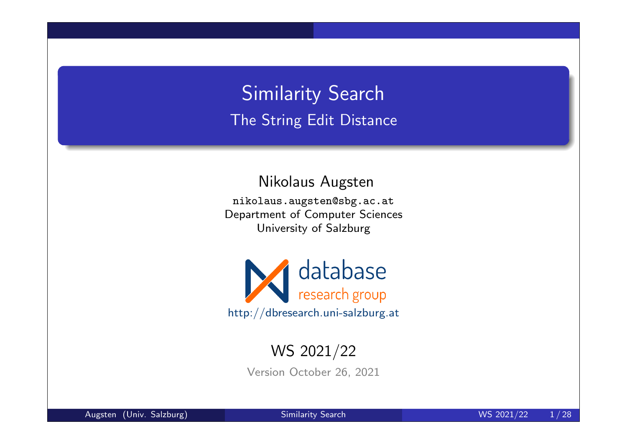Similarity Search The String Edit Distance

Nikolaus Augsten

nikolaus.augsten@sbg.ac.at Department of Computer Sciences University of Salzburg



#### WS 2021/22

Version October 26, 2021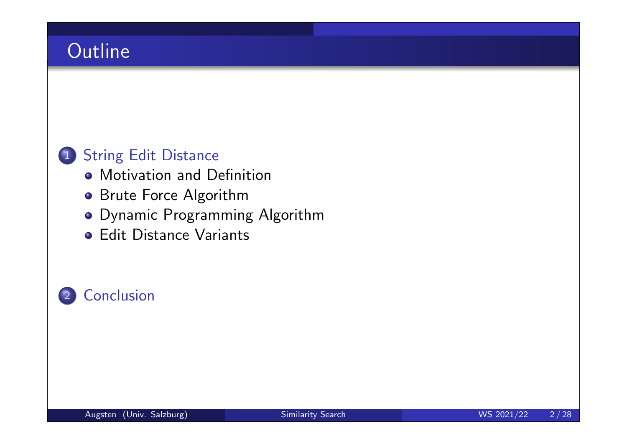### **Outline**

#### 1 String Edit Distance

- **Motivation and Definition**
- **Brute Force Algorithm**
- Dynamic Programming Algorithm
- **Edit Distance Variants**

#### 2 Conclusion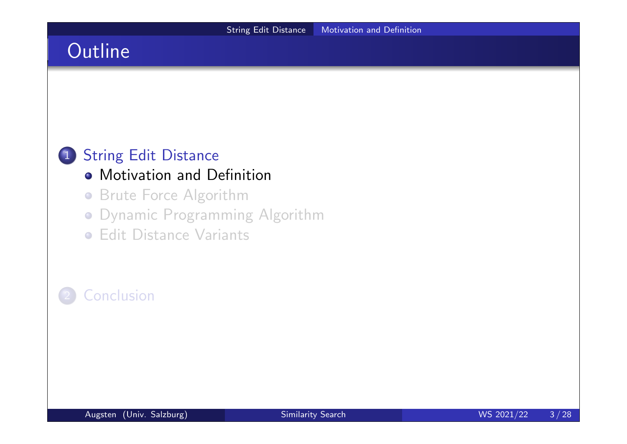### **Outline**

#### 1 String Edit Distance

#### **• Motivation and Definition**

- **Brute Force Algorithm**
- Dynamic Programming Algorithm
- **Edit Distance Variants**

#### **Conclusion**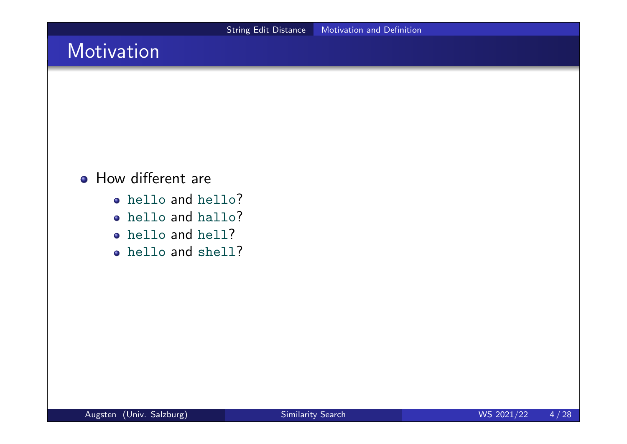### Motivation

#### **• How different are**

- hello and hello?
- hello and hallo?
- hello and hell?
- hello and shell?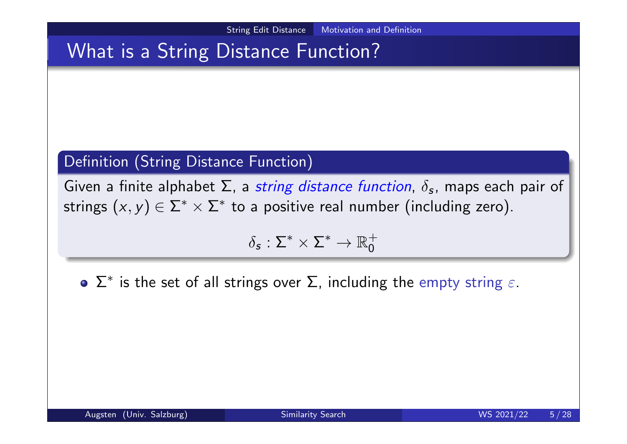### What is a String Distance Function?

#### Definition (String Distance Function)

Given a finite alphabet  $\Sigma$ , a string distance function,  $\delta_{\bm{s}}$ , maps each pair of strings  $(x, y) \in \Sigma^* \times \Sigma^*$  to a positive real number (including zero).

$$
\delta_{\mathsf{s}}:\Sigma^*\times\Sigma^*\to\mathbb{R}_0^+
$$

 $\Sigma^*$  is the set of all strings over  $\Sigma$ , including the empty string  $\varepsilon$ .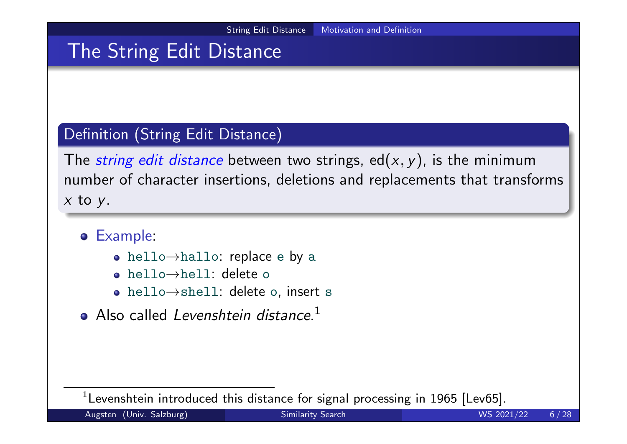### The String Edit Distance

#### Definition (String Edit Distance)

The *string edit distance* between two strings, ed( $x, y$ ), is the minimum number of character insertions, deletions and replacements that transforms  $x$  to  $y$ .

- Example:
	- hello→hallo: replace e by a
	- hello→hell: delete o
	- hello→shell: delete o, insert s
- Also called Levenshtein distance.<sup>1</sup>

 $^1$ Levenshtein introduced this distance for signal processing in 1965 [Lev65].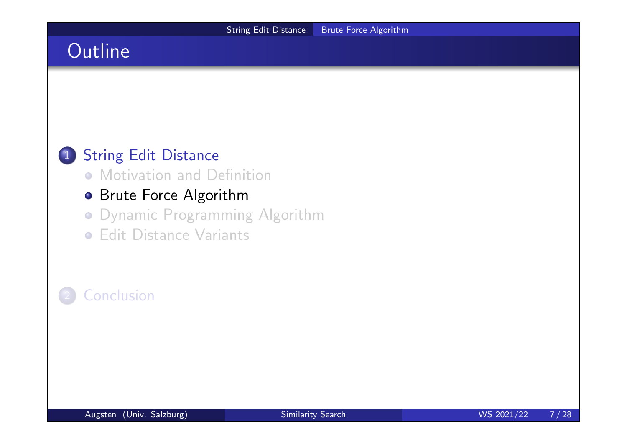### **Outline**

#### 1 String Edit Distance

**• Motivation and Definition** 

#### **• Brute Force Algorithm**

- Dynamic Programming Algorithm
- **Edit Distance Variants**

#### **Conclusion**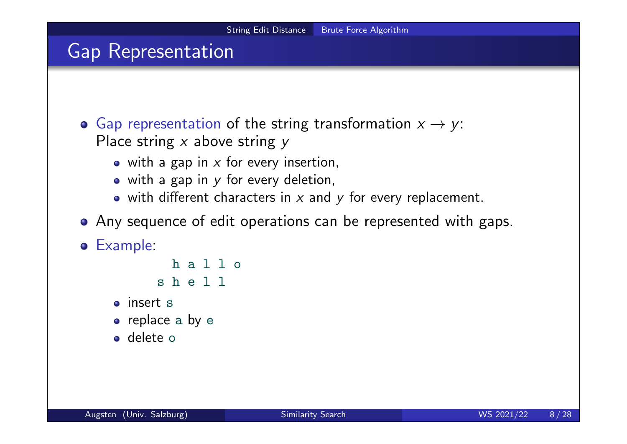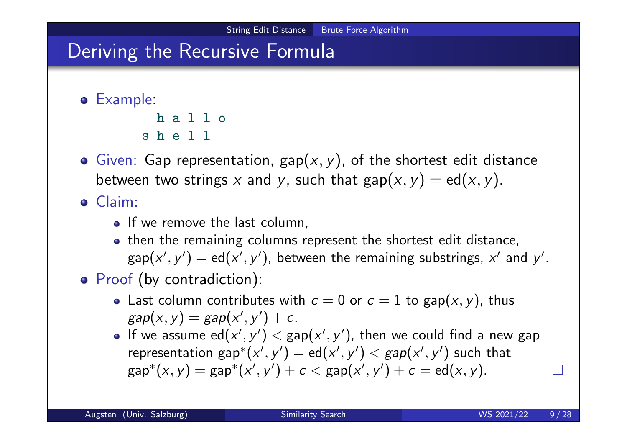### Deriving the Recursive Formula

```
Example:
```

```
h a l l o
s h e l l
```
**•** Given: Gap representation,  $\text{gap}(x, y)$ , of the shortest edit distance between two strings x and y, such that  $\text{gap}(x, y) = \text{ed}(x, y)$ .

Claim:

- If we remove the last column,
- then the remaining columns represent the shortest edit distance,  $\mathsf{gap}({\mathsf{x}}',{\mathsf{y}}') = \mathsf{ed}({\mathsf{x}}',{\mathsf{y}}'),$  between the remaining substrings,  ${\mathsf{x}}'$  and  ${\mathsf{y}}'.$
- Proof (by contradiction):
	- Last column contributes with  $c = 0$  or  $c = 1$  to gap $(x, y)$ , thus  $\textit{gap}(x,y) = \textit{gap}(x',y') + c.$
	- If we assume  $\mathsf{ed}(x',y') < \mathsf{gap}(x',y')$ , then we could find a new gap representation  $\mathsf{gap}^*(\mathsf{x}',\mathsf{y}') = \mathsf{ed}(\mathsf{x}',\mathsf{y}') < \mathsf{gap}(\mathsf{x}',\mathsf{y}')$  such that  $\mathsf{gap}^*(x,y) = \mathsf{gap}^*(x',y') + c < \mathsf{gap}(x',y') + c = \mathsf{ed}(x,y).$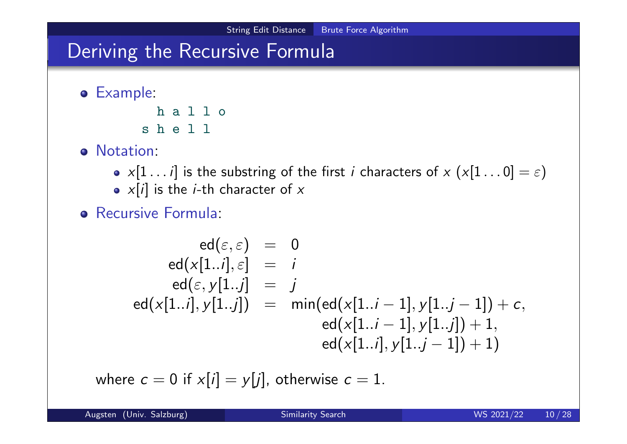### Deriving the Recursive Formula

Example:

h a l l o s h e l l

- o Notation:
	- $x[1 \dots i]$  is the substring of the first i characters of  $x(x[1 \dots 0] = \varepsilon)$
	- $x[i]$  is the *i*-th character of  $x$
- **•** Recursive Formula:

$$
\begin{array}{rcl} \mathrm{ed}(\varepsilon,\varepsilon)&=&0\\ \mathrm{ed}(x[1..i],\varepsilon]&=&i\\ \mathrm{ed}(\varepsilon,y[1..j]&=&j\\ \mathrm{ed}(x[1..i],y[1..j])&=&\min(\mathrm{ed}(x[1..i-1],y[1..j-1])+c,\\ \mathrm{ed}(x[1..i-1],y[1..j])+1,\\ \mathrm{ed}(x[1..i],y[1..j-1])+1)\end{array}
$$

where  $c = 0$  if  $x[i] = y[j]$ , otherwise  $c = 1$ .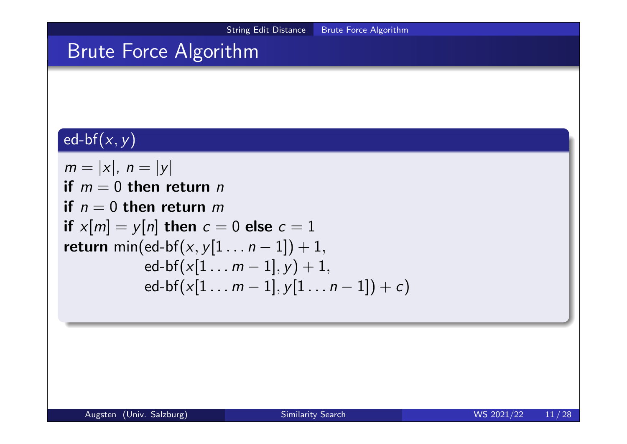## Brute Force Algorithm

### $ed-bf(x, y)$

$$
m = |x|, n = |y|
$$
  
\nif  $m = 0$  then return  $n$   
\nif  $x[m] = y[n]$  then  $c = 0$  else  $c = 1$   
\nreturn  $min(ed-bf(x,y[1...n-1])+1,\ned-bf(x[1...m-1],y)+1,\ned-bf(x[1...m-1],y[1...n-1])+c)$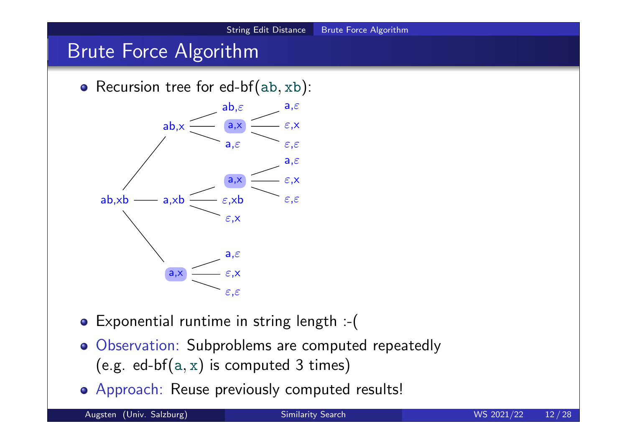#### String Edit Distance Brute Force Algorithm **Brute Force Algorithm** • Recursion tree for ed-bf( $ab, xb$ ): ab,xb a,xb ε,x ε,xb a,x ε,ε ε,x a,ε ab,x a,ε a,x ε,ε ε,x  $ab,\varepsilon$  a, $\varepsilon$

Exponential runtime in string length :-(

ε,ε

ε,x

a,ε

a,x

- Observation: Subproblems are computed repeatedly (e.g. ed-bf $(a, x)$  is computed 3 times)
- Approach: Reuse previously computed results!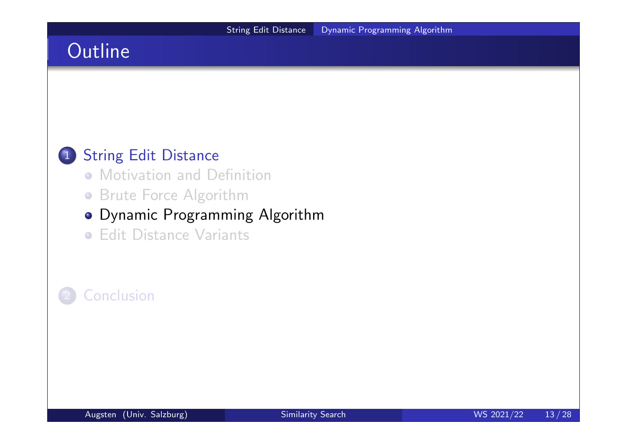### **Outline**

#### 1 String Edit Distance

- **Motivation and Definition**
- **Brute Force Algorithm**

#### Dynamic Programming Algorithm

**• Edit Distance Variants** 

#### **Conclusion**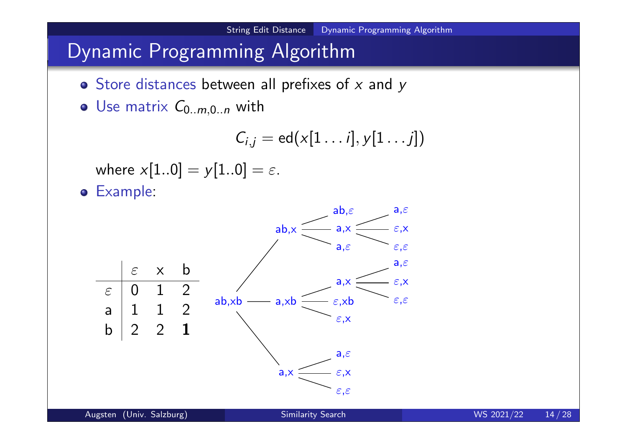### Dynamic Programming Algorithm

- $\bullet$  Store distances between all prefixes of x and y
- Use matrix  $C_{0..m,0..n}$  with

$$
C_{i,j} = \mathrm{ed}(x[1 \dots i], y[1 \dots j])
$$

where  $x[1..0] = y[1..0] = \varepsilon$ .

Example:

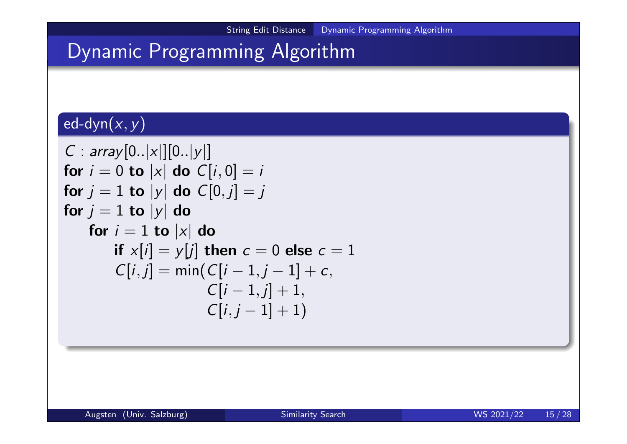# Dynamic Programming Algorithm

### $\textsf{ed-dyn}(x,y)$

$$
C: array[0..|x|][0..|y|]
$$
\n
$$
\begin{aligned}\n\text{for } i &= 0 \text{ to } |x| \text{ do } C[i,0] = i \\
\text{for } j &= 1 \text{ to } |y| \text{ do } C[0,j] = j \\
\text{for } j &= 1 \text{ to } |y| \text{ do} \\
\text{for } i &= 1 \text{ to } |x| \text{ do} \\
\text{if } x[i] &= y[j] \text{ then } c = 0 \text{ else } c = 1 \\
C[i,j] &= \min(C[i-1,j-1] + c, \\
C[i-1,j] + 1, \\
C[i,j-1] + 1)\n\end{aligned}
$$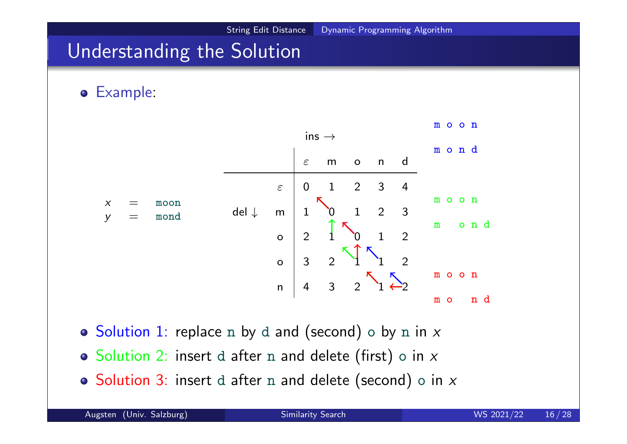### Understanding the Solution

Example:



 $\circ$  Solution 1: replace n by d and (second)  $\circ$  by n in x

- $\circ$  Solution 2: insert d after n and delete (first) o in x
- $\circ$  Solution 3: insert d after n and delete (second) o in x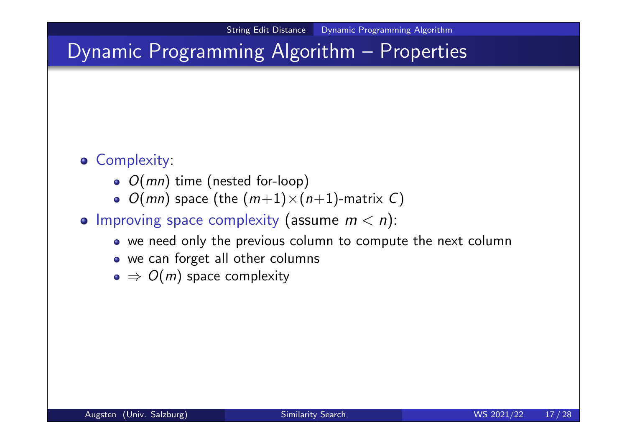### Dynamic Programming Algorithm – Properties

#### **• Complexity:**

- $\bullet$   $O(mn)$  time (nested for-loop)
- $\bullet$   $O(mn)$  space (the  $(m+1)\times(n+1)$ -matrix C)
- Improving space complexity (assume  $m < n$ ):
	- we need only the previous column to compute the next column
	- we can forget all other columns
	- $\bullet \Rightarrow O(m)$  space complexity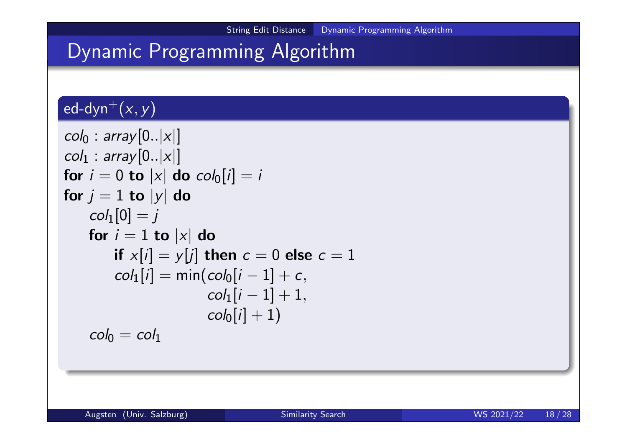### Dynamic Programming Algorithm

#### ed-dyn<sup>+</sup> $(x, y)$

```
col_0 : array [0..|x|]col_1 : array [0..|x|]for i = 0 to |x| do col_0[i] = ifor j = 1 to |y| do
   col_1[0] = jfor i = 1 to |x| do
       if x[i] = y[j] then c = 0 else c = 1col_1[i] = min(col_0[i-1] + c,col_1[i - 1] + 1,col_0[i] + 1)col_0 = col_1
```
Augsten (Univ. Salzburg) Similarity Search WS 2021/22 18/28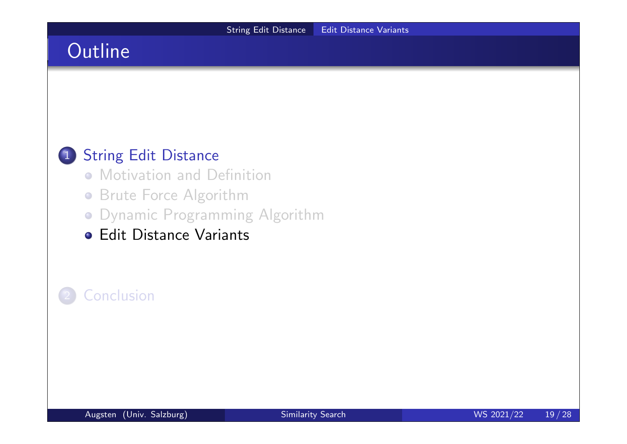### **Outline**

#### 1 String Edit Distance

- **Motivation and Definition**
- **Brute Force Algorithm**
- Dynamic Programming Algorithm
- **Edit Distance Variants**

#### **Conclusion**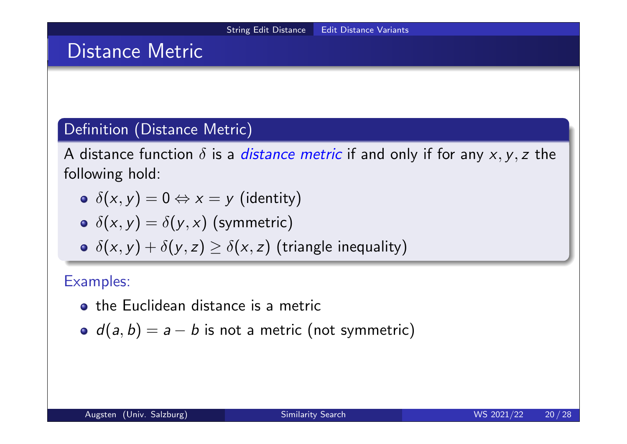### Distance Metric

#### Definition (Distance Metric)

A distance function  $\delta$  is a *distance metric* if and only if for any  $x, y, z$  the following hold:

- $\delta(x, y) = 0 \Leftrightarrow x = y$  (identity)
- $\delta(x, y) = \delta(y, x)$  (symmetric)
- $\delta(x, y) + \delta(y, z) \geq \delta(x, z)$  (triangle inequality)

#### Examples:

- the Euclidean distance is a metric
- $d(a, b) = a b$  is not a metric (not symmetric)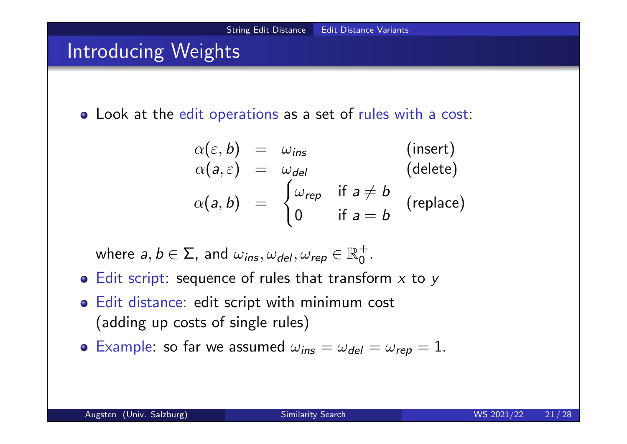### Introducing Weights

Look at the edit operations as a set of rules with a cost:

$$
\alpha(\varepsilon, b) = \omega_{ins} \qquad \text{(insert)}\\
\alpha(a, \varepsilon) = \omega_{del} \qquad \text{(delete)}\\
\alpha(a, b) = \begin{cases} \omega_{rep} & \text{if } a \neq b \\ 0 & \text{if } a = b \end{cases} \qquad \text{(replace)}
$$

where  $a,b\in\Sigma$ , and  $\omega_{\textit{ins}}, \omega_{\textit{del}}, \omega_{\textit{rep}}\in\mathbb{R}^{+}_{0}$ 0 .

- $\bullet$  Edit script: sequence of rules that transform  $x$  to  $y$
- Edit distance: edit script with minimum cost (adding up costs of single rules)
- **•** Example: so far we assumed  $\omega_{ins} = \omega_{del} = \omega_{rep} = 1$ .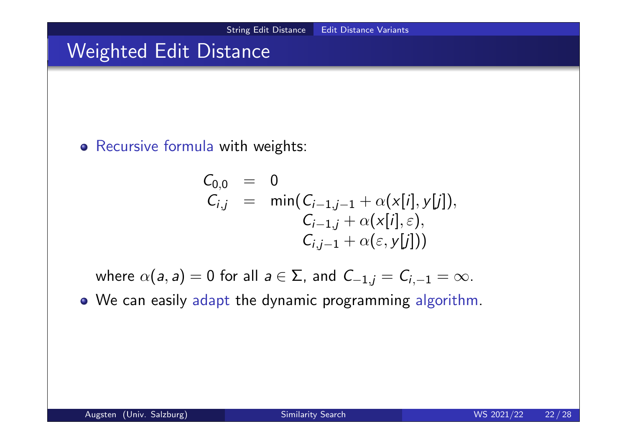### Weighted Edit Distance

#### Recursive formula with weights:

$$
C_{0,0} = 0
$$
  
\n
$$
C_{i,j} = \min(C_{i-1,j-1} + \alpha(x[i], y[j]),
$$
  
\n
$$
C_{i-1,j} + \alpha(x[i], \varepsilon),
$$
  
\n
$$
C_{i,j-1} + \alpha(\varepsilon, y[j]))
$$

where  $\alpha(a, a) = 0$  for all  $a \in \Sigma$ , and  $C_{-1,j} = C_{i,-1} = \infty$ .

We can easily adapt the dynamic programming algorithm.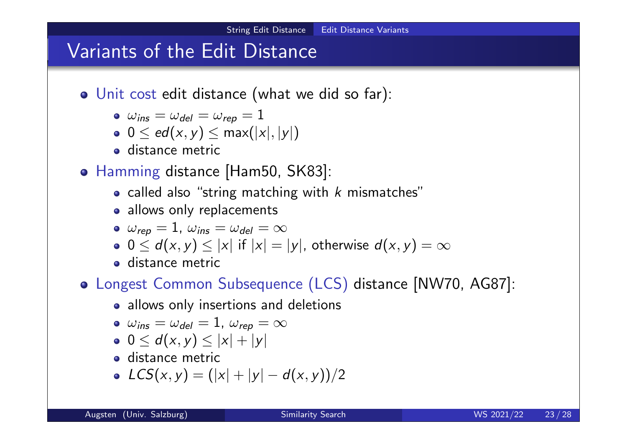### Variants of the Edit Distance

- Unit cost edit distance (what we did so far):
	- $\bullet \ \omega_{ins} = \omega_{del} = \omega_{rep} = 1$
	- $\bullet$  0  $\leq$  ed(x, y)  $\leq$  max(|x|, |y|)
	- distance metric
- Hamming distance [Ham50, SK83]:
	- called also "string matching with  $k$  mismatches"
	- allows only replacements

$$
\bullet\;\;\omega_{\textit{rep}}=1,\;\omega_{\textit{ins}}=\omega_{\textit{del}}=\infty
$$

• 
$$
0 \le d(x, y) \le |x|
$$
 if  $|x| = |y|$ , otherwise  $d(x, y) = \infty$ 

**e** distance metric

#### Longest Common Subsequence (LCS) distance [NW70, AG87]:

• allows only insertions and deletions

$$
\bullet\ \ \omega_{ins}=\omega_{del}=1,\ \omega_{rep}=\infty
$$

- $0 \le d(x, y) \le |x| + |y|$
- **o** distance metric
- $LCS(x, y) = (|x| + |y| d(x, y))/2$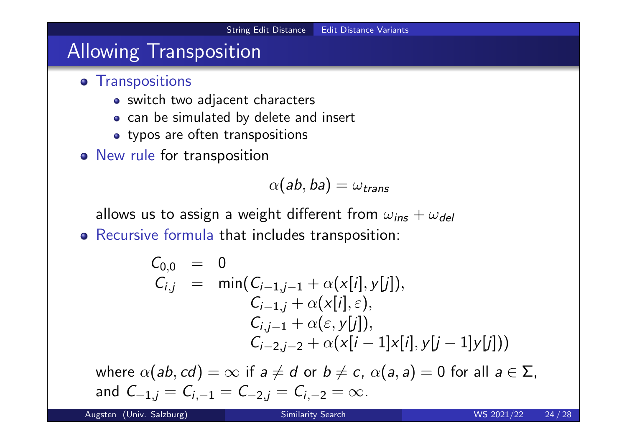### Allowing Transposition

- **•** Transpositions
	- switch two adjacent characters
	- o can be simulated by delete and insert
	- typos are often transpositions
- o New rule for transposition

$$
\alpha(\mathsf{ab},\mathsf{ba})=\omega_\mathsf{trans}
$$

allows us to assign a weight different from  $\omega_{ins} + \omega_{del}$ 

Recursive formula that includes transposition:

$$
C_{0,0} = 0
$$
  
\n
$$
C_{i,j} = \min(C_{i-1,j-1} + \alpha(x[i], y[j]),
$$
  
\n
$$
C_{i-1,j} + \alpha(x[i], \varepsilon),
$$
  
\n
$$
C_{i,j-1} + \alpha(\varepsilon, y[j]),
$$
  
\n
$$
C_{i-2,j-2} + \alpha(x[i-1]x[i], y[j-1]y[j]))
$$

where  $\alpha(ab, cd) = \infty$  if  $a \neq d$  or  $b \neq c$ ,  $\alpha(a, a) = 0$  for all  $a \in \Sigma$ , and  $C_{-1,j} = C_{i,-1} = C_{-2,j} = C_{i,-2} = \infty$ .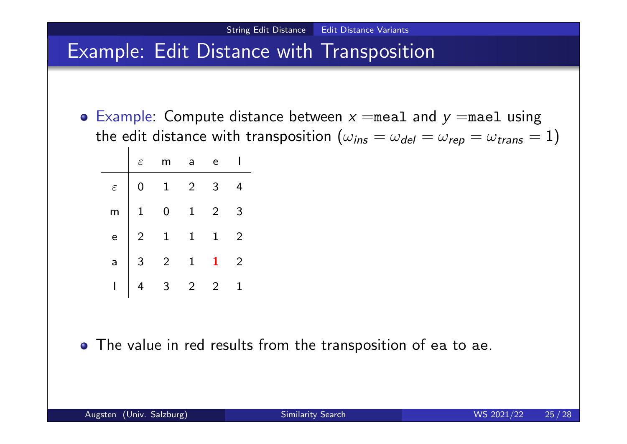### Example: Edit Distance with Transposition

**•** Example: Compute distance between  $x =$ meal and  $y =$ mael using the edit distance with transposition ( $\omega_{ins} = \omega_{del} = \omega_{rep} = \omega_{trans} = 1$ )

|  | $\varepsilon$ m a                                                                                                                         | e              |                |
|--|-------------------------------------------------------------------------------------------------------------------------------------------|----------------|----------------|
|  | $\begin{array}{c cccc}\n\varepsilon & 0 & 1 & 2 \\ \hline\nm & 1 & 0 & 1 \\ e & 2 & 1 & 1 \\ a & 3 & 2 & 1 \\ 1 & 4 & 3 & 2\n\end{array}$ | $\mathbf{3}$   | $\overline{4}$ |
|  |                                                                                                                                           | $\overline{2}$ | $\overline{3}$ |
|  |                                                                                                                                           | $\overline{1}$ | $\overline{2}$ |
|  |                                                                                                                                           | $\mathbf{1}$   | $\overline{2}$ |
|  |                                                                                                                                           | $\overline{2}$ |                |

The value in red results from the transposition of ea to ae.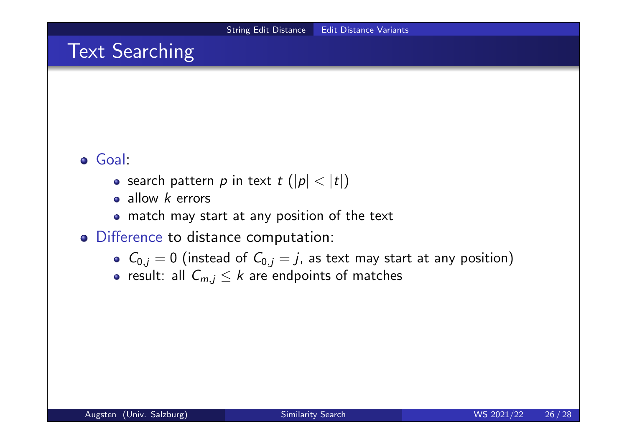### **Text Searching**

#### Goal:

- search pattern p in text  $t$  ( $|p| < |t|$ )
- allow  $k$  errors
- match may start at any position of the text
- Difference to distance computation:
	- $C_{0,j} = 0$  (instead of  $C_{0,j} = j$ , as text may start at any position)
	- result: all  $C_{m,j} \leq k$  are endpoints of matches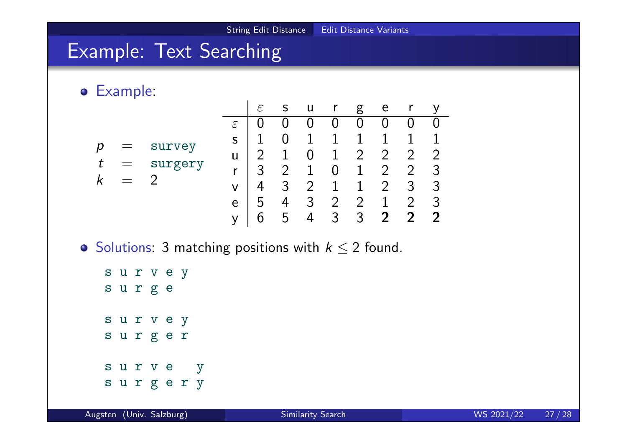### Example: Text Searching

Example:



 $\bullet$  Solutions: 3 matching positions with  $k \leq 2$  found.

s u r v e y s u r g e s u r v e y s u r g e r s u r v e y s u r g e r y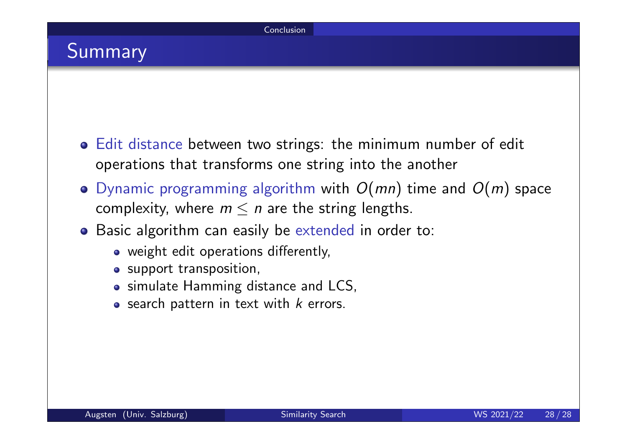### Summary

- Edit distance between two strings: the minimum number of edit operations that transforms one string into the another
- Dynamic programming algorithm with  $O(mn)$  time and  $O(m)$  space complexity, where  $m \leq n$  are the string lengths.
- **•** Basic algorithm can easily be extended in order to:
	- weight edit operations differently,
	- o support transposition,
	- simulate Hamming distance and LCS,
	- $\circ$  search pattern in text with  $k$  errors.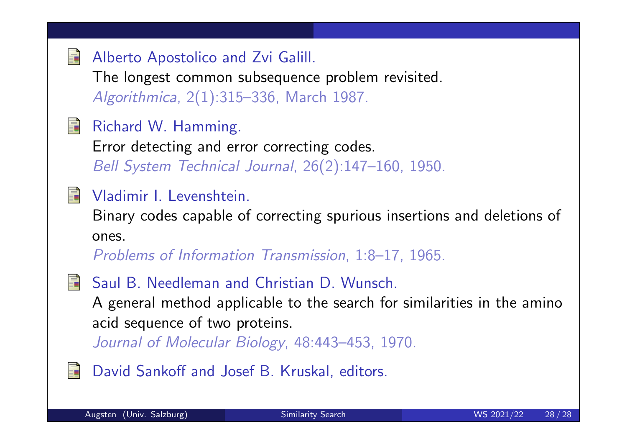#### Alberto Apostolico and Zvi Galill.

The longest common subsequence problem revisited. Algorithmica, 2(1):315–336, March 1987.

#### Richard W. Hamming. 譶

Error detecting and error correcting codes. Bell System Technical Journal, 26(2):147–160, 1950.

#### Vladimir I. Levenshtein.

Binary codes capable of correcting spurious insertions and deletions of ones.

Problems of Information Transmission, 1:8–17, 1965.

- 
- Saul B. Needleman and Christian D. Wunsch.

A general method applicable to the search for similarities in the amino acid sequence of two proteins.

Journal of Molecular Biology, 48:443–453, 1970.

David Sankoff and Josef B. Kruskal, editors.